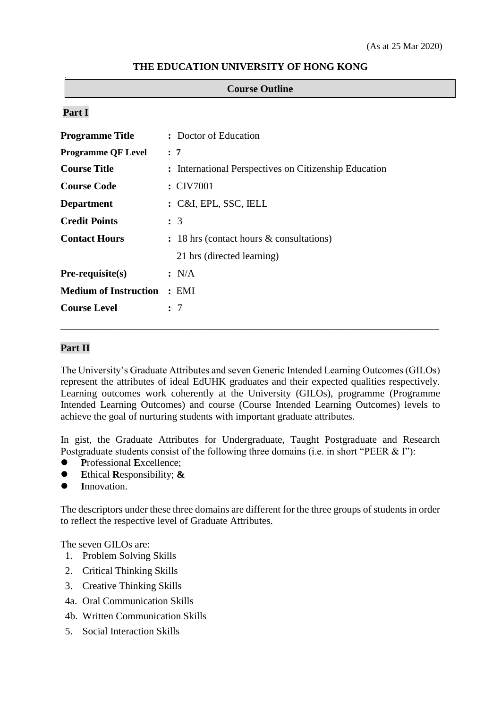|  |  | THE EDUCATION UNIVERSITY OF HONG KONG |
|--|--|---------------------------------------|
|--|--|---------------------------------------|

#### **Course Outline**

### **Part I**

| <b>Programme Title</b>       | : Doctor of Education                                 |
|------------------------------|-------------------------------------------------------|
| <b>Programme QF Level</b>    | : 7                                                   |
| <b>Course Title</b>          | : International Perspectives on Citizenship Education |
| <b>Course Code</b>           | : CIV7001                                             |
| <b>Department</b>            | : C&I, EPL, SSC, IELL                                 |
| <b>Credit Points</b>         | $\colon$ 3                                            |
| <b>Contact Hours</b>         | : 18 hrs (contact hours & consultations)              |
|                              | 21 hrs (directed learning)                            |
| $Pre-requiste(s)$            | : N/A                                                 |
| <b>Medium of Instruction</b> | : EMI                                                 |
| <b>Course Level</b>          | : 7                                                   |
|                              |                                                       |

### **Part II**

The University's Graduate Attributes and seven Generic Intended Learning Outcomes (GILOs) represent the attributes of ideal EdUHK graduates and their expected qualities respectively. Learning outcomes work coherently at the University (GILOs), programme (Programme Intended Learning Outcomes) and course (Course Intended Learning Outcomes) levels to achieve the goal of nurturing students with important graduate attributes.

\_\_\_\_\_\_\_\_\_\_\_\_\_\_\_\_\_\_\_\_\_\_\_\_\_\_\_\_\_\_\_\_\_\_\_\_\_\_\_\_\_\_\_\_\_\_\_\_\_\_\_\_\_\_\_\_\_\_\_\_\_\_\_\_\_\_\_\_\_\_\_\_\_\_\_

In gist, the Graduate Attributes for Undergraduate, Taught Postgraduate and Research Postgraduate students consist of the following three domains (i.e. in short "PEER & I"):

- **P**rofessional **E**xcellence;
- **E**thical **R**esponsibility; **&**
- **I**nnovation.

The descriptors under these three domains are different for the three groups of students in order to reflect the respective level of Graduate Attributes.

The seven GILOs are:

- 1. Problem Solving Skills
- 2. Critical Thinking Skills
- 3. Creative Thinking Skills
- 4a. Oral Communication Skills
- 4b. Written Communication Skills
- 5. Social Interaction Skills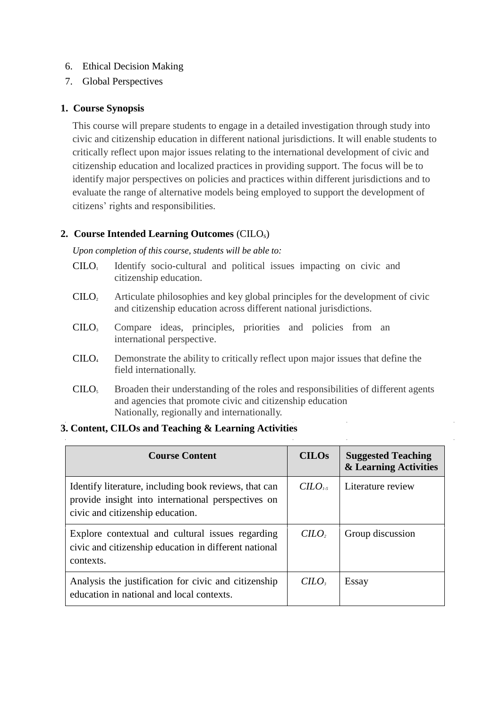- 6. Ethical Decision Making
- 7. Global Perspectives

## **1. Course Synopsis**

This course will prepare students to engage in a detailed investigation through study into civic and citizenship education in different national jurisdictions. It will enable students to critically reflect upon major issues relating to the international development of civic and citizenship education and localized practices in providing support. The focus will be to identify major perspectives on policies and practices within different jurisdictions and to evaluate the range of alternative models being employed to support the development of citizens' rights and responsibilities.

## **2. Course Intended Learning Outcomes** (CILOs)

*Upon completion of this course, students will be able to:*

- $C I L O<sub>i</sub>$  Identify socio-cultural and political issues impacting on civic and citizenship education.
- $C I L O<sub>2</sub>$  Articulate philosophies and key global principles for the development of civic and citizenship education across different national jurisdictions.
- CILO<sup>3</sup> Compare ideas, principles, priorities and policies from an international perspective.
- CILO<sup>4</sup> Demonstrate the ability to critically reflect upon major issues that define the field internationally.
- CILO<sub>5</sub> Broaden their understanding of the roles and responsibilities of different agents and agencies that promote civic and citizenship education Nationally, regionally and internationally.

## **3. Content, CILOs and Teaching & Learning Activities**

| <b>Course Content</b>                                                                                                                           | <b>CILOS</b> | <b>Suggested Teaching</b><br>& Learning Activities |
|-------------------------------------------------------------------------------------------------------------------------------------------------|--------------|----------------------------------------------------|
| Identify literature, including book reviews, that can<br>provide insight into international perspectives on<br>civic and citizenship education. | $C LO_{1.5}$ | Literature review                                  |
| Explore contextual and cultural issues regarding<br>civic and citizenship education in different national<br>contexts.                          | $C LO,$      | Group discussion                                   |
| Analysis the justification for civic and citizenship<br>education in national and local contexts.                                               | $C.$         | Essay                                              |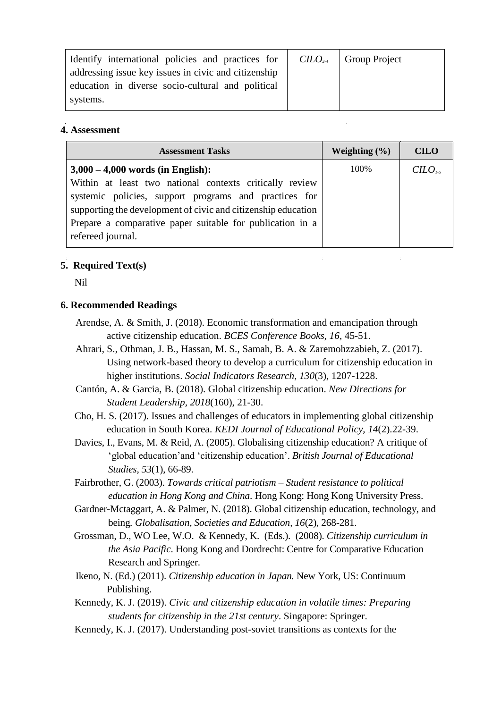| Identify international policies and practices for $\vert$ CILO <sub>2.4</sub> | <b>Group Project</b> |
|-------------------------------------------------------------------------------|----------------------|
| addressing issue key issues in civic and citizenship                          |                      |
| education in diverse socio-cultural and political                             |                      |
| systems.                                                                      |                      |

### **4. Assessment**

| <b>Assessment Tasks</b>                                                                                                    | Weighting $(\% )$ | <b>CILO</b> |
|----------------------------------------------------------------------------------------------------------------------------|-------------------|-------------|
| $3,000 - 4,000$ words (in English):                                                                                        | 100%              | $C$         |
| Within at least two national contexts critically review                                                                    |                   |             |
| systemic policies, support programs and practices for                                                                      |                   |             |
| supporting the development of civic and citizenship education<br>Prepare a comparative paper suitable for publication in a |                   |             |
| refereed journal.                                                                                                          |                   |             |
|                                                                                                                            |                   |             |

 $\mathcal{L}^{\text{max}}$ 

 $\mathcal{L}^{\text{max}}_{\text{max}}$ 

# **5. Required Text(s)**

Nil

### **6. Recommended Readings**

- Arendse, A. & Smith, J. (2018). Economic transformation and emancipation through active citizenship education. *BCES Conference Books, 16*, 45-51.
- Ahrari, S., Othman, J. B., Hassan, M. S., Samah, B. A. & Zaremohzzabieh, Z. (2017). Using network-based theory to develop a curriculum for citizenship education in higher institutions. *Social Indicators Research, 130*(3), 1207-1228.
- Cantón, A. & Garcia, B. (2018). Global citizenship education. *New Directions for Student Leadership, 2018*(160), 21-30.
- Cho, H. S. (2017). Issues and challenges of educators in implementing global citizenship education in South Korea. *KEDI Journal of Educational Policy, 14*(2).22-39.
- Davies, I., Evans, M. & Reid, A. (2005). Globalising citizenship education? A critique of 'global education'and 'citizenship education'. *British Journal of Educational Studies, 53*(1), 66-89.
- Fairbrother, G. (2003). *Towards critical patriotism – Student resistance to political education in Hong Kong and China*. Hong Kong: Hong Kong University Press.
- Gardner-Mctaggart, A. & Palmer, N. (2018). Global citizenship education, technology, and being*. Globalisation, Societies and Education, 16*(2), 268-281.
- Grossman, D., WO Lee, W.O. & Kennedy, K. (Eds.). (2008). *Citizenship curriculum in the Asia Pacific*. Hong Kong and Dordrecht: Centre for Comparative Education Research and Springer.
- Ikeno, N. (Ed.) (2011). *Citizenship education in Japan.* New York, US: Continuum Publishing.
- Kennedy, K. J. (2019). *Civic and citizenship education in volatile times: Preparing students for citizenship in the 21st century*. Singapore: Springer.
- Kennedy, K. J. (2017). Understanding post-soviet transitions as contexts for the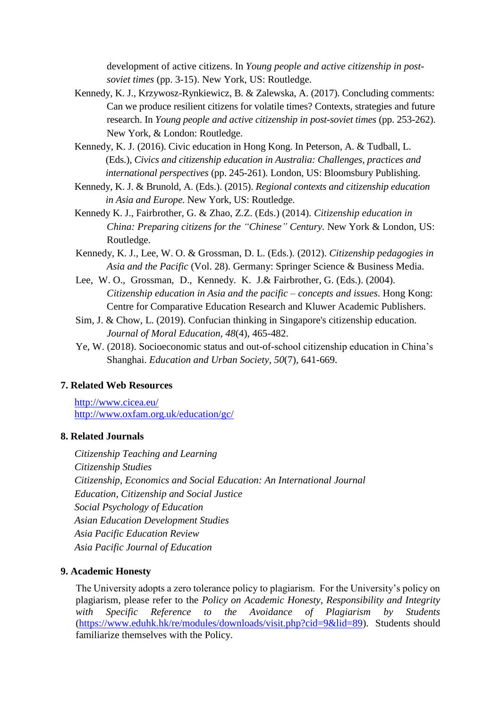development of active citizens. In *Young people and active citizenship in postsoviet times* (pp. 3-15). New York, US: Routledge.

- Kennedy, K. J., Krzywosz-Rynkiewicz, B. & Zalewska, A. (2017). Concluding comments: Can we produce resilient citizens for volatile times? Contexts, strategies and future research. In *Young people and active citizenship in post-soviet times* (pp. 253-262). New York, & London: Routledge.
- Kennedy, K. J. (2016). Civic education in Hong Kong. In Peterson, A. & Tudball, L. (Eds.), *Civics and citizenship education in Australia: Challenges, practices and international perspectives* (pp. 245-261). London, US: Bloomsbury Publishing.
- Kennedy, K. J. & Brunold, A. (Eds.). (2015). *Regional contexts and citizenship education in Asia and Europe*. New York, US: Routledge.
- Kennedy K. J., Fairbrother, G. & Zhao, Z.Z. (Eds.) (2014). *Citizenship education in China: Preparing citizens for the "Chinese" Century.* New York & London, US: Routledge.
- Kennedy, K. J., Lee, W. O. & Grossman, D. L. (Eds.). (2012). *Citizenship pedagogies in Asia and the Pacific* (Vol. 28). Germany: Springer Science & Business Media.
- Lee, W. O., Grossman, D., Kennedy. K. J.& Fairbrother, G. (Eds.). (2004). *Citizenship education in Asia and the pacific – concepts and issues*. Hong Kong: Centre for Comparative Education Research and Kluwer Academic Publishers.
- Sim, J. & Chow, L. (2019). Confucian thinking in Singapore's citizenship education*. Journal of Moral Education, 48*(4), 465-482.
- Ye, W. (2018). Socioeconomic status and out-of-school citizenship education in China's Shanghai. *Education and Urban Society, 50*(7), 641-669.

### **7. Related Web Resources**

<http://www.cicea.eu/> <http://www.oxfam.org.uk/education/gc/>

### **8. Related Journals**

*Citizenship Teaching and Learning Citizenship Studies Citizenship, Economics and Social Education: An International Journal Education, Citizenship and Social Justice Social Psychology of Education Asian Education Development Studies Asia Pacific Education Review Asia Pacific Journal of Education*

#### **9. Academic Honesty**

The University adopts a zero tolerance policy to plagiarism. For the University's policy on plagiarism, please refer to the *Policy on Academic Honesty, Responsibility and Integrity*  with Specific Reference to the Avoidance of Plagiarism by Students [\(https://www.eduhk.hk/re/modules/downloads/visit.php?cid=9&lid=89\)](https://www.eduhk.hk/re/modules/downloads/visit.php?cid=9&lid=89). Students should familiarize themselves with the Policy.